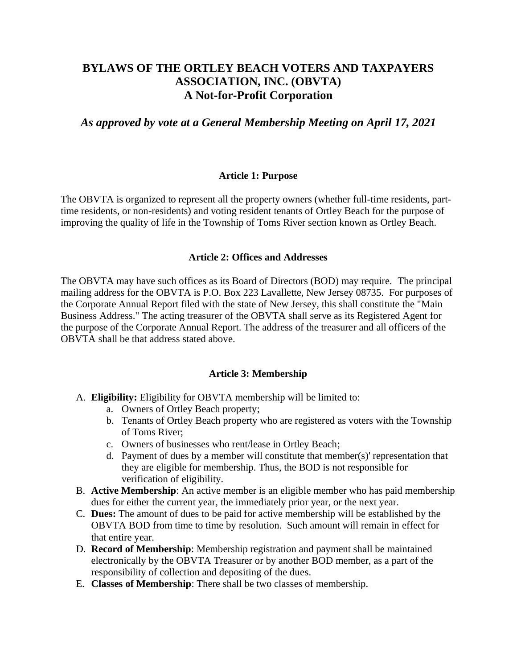## **BYLAWS OF THE ORTLEY BEACH VOTERS AND TAXPAYERS ASSOCIATION, INC. (OBVTA) A Not-for-Profit Corporation**

*As approved by vote at a General Membership Meeting on April 17, 2021*

#### **Article 1: Purpose**

The OBVTA is organized to represent all the property owners (whether full-time residents, parttime residents, or non-residents) and voting resident tenants of Ortley Beach for the purpose of improving the quality of life in the Township of Toms River section known as Ortley Beach.

#### **Article 2: Offices and Addresses**

The OBVTA may have such offices as its Board of Directors (BOD) may require. The principal mailing address for the OBVTA is P.O. Box 223 Lavallette, New Jersey 08735. For purposes of the Corporate Annual Report filed with the state of New Jersey, this shall constitute the "Main Business Address." The acting treasurer of the OBVTA shall serve as its Registered Agent for the purpose of the Corporate Annual Report. The address of the treasurer and all officers of the OBVTA shall be that address stated above.

#### **Article 3: Membership**

- A. **Eligibility:** Eligibility for OBVTA membership will be limited to:
	- a. Owners of Ortley Beach property;
	- b. Tenants of Ortley Beach property who are registered as voters with the Township of Toms River;
	- c. Owners of businesses who rent/lease in Ortley Beach;
	- d. Payment of dues by a member will constitute that member(s)' representation that they are eligible for membership. Thus, the BOD is not responsible for verification of eligibility.
- B. **Active Membership**: An active member is an eligible member who has paid membership dues for either the current year, the immediately prior year, or the next year.
- C. **Dues:** The amount of dues to be paid for active membership will be established by the OBVTA BOD from time to time by resolution. Such amount will remain in effect for that entire year.
- D. **Record of Membership**: Membership registration and payment shall be maintained electronically by the OBVTA Treasurer or by another BOD member, as a part of the responsibility of collection and depositing of the dues.
- E. **Classes of Membership**: There shall be two classes of membership.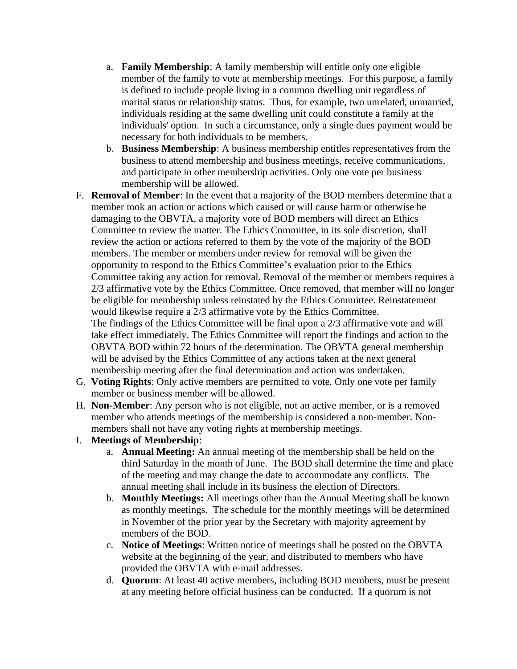- a. **Family Membership**: A family membership will entitle only one eligible member of the family to vote at membership meetings. For this purpose, a family is defined to include people living in a common dwelling unit regardless of marital status or relationship status. Thus, for example, two unrelated, unmarried, individuals residing at the same dwelling unit could constitute a family at the individuals' option. In such a circumstance, only a single dues payment would be necessary for both individuals to be members.
- b. **Business Membership**: A business membership entitles representatives from the business to attend membership and business meetings, receive communications, and participate in other membership activities. Only one vote per business membership will be allowed.
- F. **Removal of Member**: In the event that a majority of the BOD members determine that a member took an action or actions which caused or will cause harm or otherwise be damaging to the OBVTA, a majority vote of BOD members will direct an Ethics Committee to review the matter. The Ethics Committee, in its sole discretion, shall review the action or actions referred to them by the vote of the majority of the BOD members. The member or members under review for removal will be given the opportunity to respond to the Ethics Committee's evaluation prior to the Ethics Committee taking any action for removal. Removal of the member or members requires a 2/3 affirmative vote by the Ethics Committee. Once removed, that member will no longer be eligible for membership unless reinstated by the Ethics Committee. Reinstatement would likewise require a 2/3 affirmative vote by the Ethics Committee. The findings of the Ethics Committee will be final upon a 2/3 affirmative vote and will take effect immediately. The Ethics Committee will report the findings and action to the OBVTA BOD within 72 hours of the determination. The OBVTA general membership will be advised by the Ethics Committee of any actions taken at the next general membership meeting after the final determination and action was undertaken.
- G. **Voting Rights**: Only active members are permitted to vote. Only one vote per family member or business member will be allowed.
- H. **Non-Member**: Any person who is not eligible, not an active member, or is a removed member who attends meetings of the membership is considered a non-member. Nonmembers shall not have any voting rights at membership meetings.
- I. **Meetings of Membership**:
	- a. **Annual Meeting:** An annual meeting of the membership shall be held on the third Saturday in the month of June. The BOD shall determine the time and place of the meeting and may change the date to accommodate any conflicts. The annual meeting shall include in its business the election of Directors.
	- b. **Monthly Meetings:** All meetings other than the Annual Meeting shall be known as monthly meetings. The schedule for the monthly meetings will be determined in November of the prior year by the Secretary with majority agreement by members of the BOD.
	- c. **Notice of Meetings**: Written notice of meetings shall be posted on the OBVTA website at the beginning of the year, and distributed to members who have provided the OBVTA with e-mail addresses.
	- d. **Quorum**: At least 40 active members, including BOD members, must be present at any meeting before official business can be conducted. If a quorum is not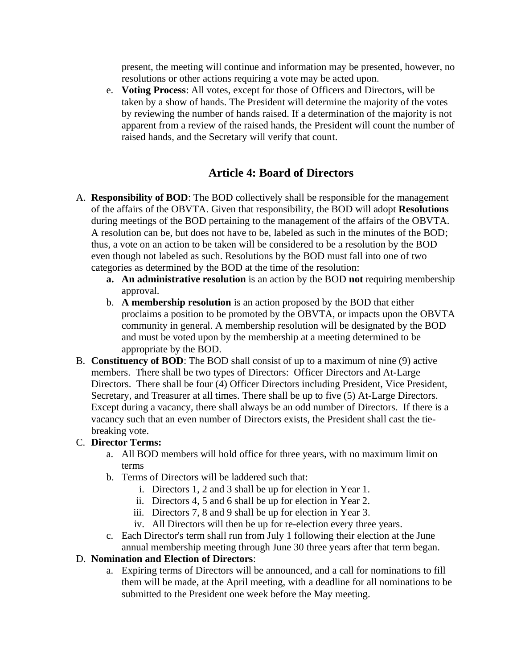present, the meeting will continue and information may be presented, however, no resolutions or other actions requiring a vote may be acted upon.

e. **Voting Process**: All votes, except for those of Officers and Directors, will be taken by a show of hands. The President will determine the majority of the votes by reviewing the number of hands raised. If a determination of the majority is not apparent from a review of the raised hands, the President will count the number of raised hands, and the Secretary will verify that count.

## **Article 4: Board of Directors**

- A. **Responsibility of BOD**: The BOD collectively shall be responsible for the management of the affairs of the OBVTA. Given that responsibility, the BOD will adopt **Resolutions**  during meetings of the BOD pertaining to the management of the affairs of the OBVTA. A resolution can be, but does not have to be, labeled as such in the minutes of the BOD; thus, a vote on an action to be taken will be considered to be a resolution by the BOD even though not labeled as such. Resolutions by the BOD must fall into one of two categories as determined by the BOD at the time of the resolution:
	- **a. An administrative resolution** is an action by the BOD **not** requiring membership approval.
	- b. **A membership resolution** is an action proposed by the BOD that either proclaims a position to be promoted by the OBVTA, or impacts upon the OBVTA community in general. A membership resolution will be designated by the BOD and must be voted upon by the membership at a meeting determined to be appropriate by the BOD.
- B. **Constituency of BOD**: The BOD shall consist of up to a maximum of nine (9) active members. There shall be two types of Directors: Officer Directors and At-Large Directors. There shall be four (4) Officer Directors including President, Vice President, Secretary, and Treasurer at all times. There shall be up to five (5) At-Large Directors. Except during a vacancy, there shall always be an odd number of Directors. If there is a vacancy such that an even number of Directors exists, the President shall cast the tiebreaking vote.

#### C. **Director Terms:**

- a. All BOD members will hold office for three years, with no maximum limit on terms
- b. Terms of Directors will be laddered such that:
	- i. Directors 1, 2 and 3 shall be up for election in Year 1.
	- ii. Directors 4, 5 and 6 shall be up for election in Year 2.
	- iii. Directors 7, 8 and 9 shall be up for election in Year 3.
	- iv. All Directors will then be up for re-election every three years.
- c. Each Director's term shall run from July 1 following their election at the June annual membership meeting through June 30 three years after that term began.

#### D. **Nomination and Election of Directors**:

a. Expiring terms of Directors will be announced, and a call for nominations to fill them will be made, at the April meeting, with a deadline for all nominations to be submitted to the President one week before the May meeting.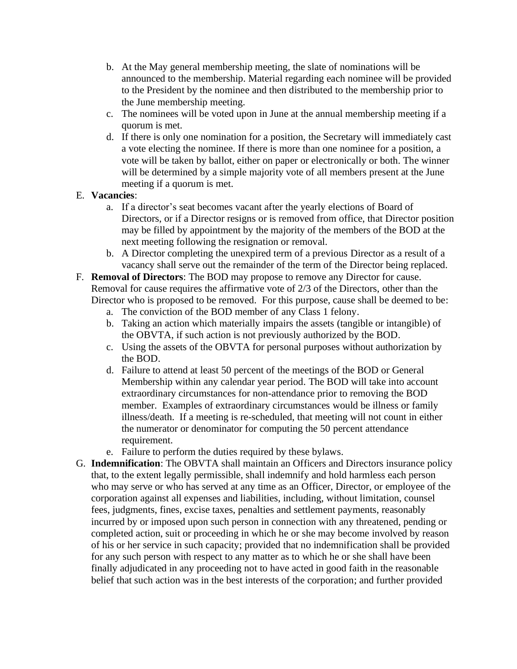- b. At the May general membership meeting, the slate of nominations will be announced to the membership. Material regarding each nominee will be provided to the President by the nominee and then distributed to the membership prior to the June membership meeting.
- c. The nominees will be voted upon in June at the annual membership meeting if a quorum is met.
- d. If there is only one nomination for a position, the Secretary will immediately cast a vote electing the nominee. If there is more than one nominee for a position, a vote will be taken by ballot, either on paper or electronically or both. The winner will be determined by a simple majority vote of all members present at the June meeting if a quorum is met.

### E. **Vacancies**:

- a. If a director's seat becomes vacant after the yearly elections of Board of Directors, or if a Director resigns or is removed from office, that Director position may be filled by appointment by the majority of the members of the BOD at the next meeting following the resignation or removal.
- b. A Director completing the unexpired term of a previous Director as a result of a vacancy shall serve out the remainder of the term of the Director being replaced.
- F. **Removal of Directors**: The BOD may propose to remove any Director for cause. Removal for cause requires the affirmative vote of 2/3 of the Directors, other than the Director who is proposed to be removed. For this purpose, cause shall be deemed to be:
	- a. The conviction of the BOD member of any Class 1 felony.
	- b. Taking an action which materially impairs the assets (tangible or intangible) of the OBVTA, if such action is not previously authorized by the BOD.
	- c. Using the assets of the OBVTA for personal purposes without authorization by the BOD.
	- d. Failure to attend at least 50 percent of the meetings of the BOD or General Membership within any calendar year period. The BOD will take into account extraordinary circumstances for non-attendance prior to removing the BOD member. Examples of extraordinary circumstances would be illness or family illness/death. If a meeting is re-scheduled, that meeting will not count in either the numerator or denominator for computing the 50 percent attendance requirement.
	- e. Failure to perform the duties required by these bylaws.
- G. **Indemnification**: The OBVTA shall maintain an Officers and Directors insurance policy that, to the extent legally permissible, shall indemnify and hold harmless each person who may serve or who has served at any time as an Officer, Director, or employee of the corporation against all expenses and liabilities, including, without limitation, counsel fees, judgments, fines, excise taxes, penalties and settlement payments, reasonably incurred by or imposed upon such person in connection with any threatened, pending or completed action, suit or proceeding in which he or she may become involved by reason of his or her service in such capacity; provided that no indemnification shall be provided for any such person with respect to any matter as to which he or she shall have been finally adjudicated in any proceeding not to have acted in good faith in the reasonable belief that such action was in the best interests of the corporation; and further provided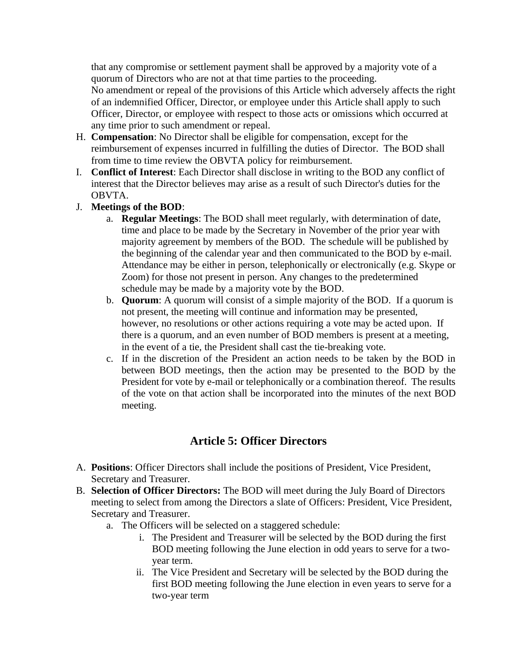that any compromise or settlement payment shall be approved by a majority vote of a quorum of Directors who are not at that time parties to the proceeding.

No amendment or repeal of the provisions of this Article which adversely affects the right of an indemnified Officer, Director, or employee under this Article shall apply to such Officer, Director, or employee with respect to those acts or omissions which occurred at any time prior to such amendment or repeal.

- H. **Compensation**: No Director shall be eligible for compensation, except for the reimbursement of expenses incurred in fulfilling the duties of Director. The BOD shall from time to time review the OBVTA policy for reimbursement.
- I. **Conflict of Interest**: Each Director shall disclose in writing to the BOD any conflict of interest that the Director believes may arise as a result of such Director's duties for the OBVTA.
- J. **Meetings of the BOD**:
	- a. **Regular Meetings**: The BOD shall meet regularly, with determination of date, time and place to be made by the Secretary in November of the prior year with majority agreement by members of the BOD. The schedule will be published by the beginning of the calendar year and then communicated to the BOD by e-mail. Attendance may be either in person, telephonically or electronically (e.g. Skype or Zoom) for those not present in person. Any changes to the predetermined schedule may be made by a majority vote by the BOD.
	- b. **Quorum**: A quorum will consist of a simple majority of the BOD.If a quorum is not present, the meeting will continue and information may be presented, however, no resolutions or other actions requiring a vote may be acted upon. If there is a quorum, and an even number of BOD members is present at a meeting, in the event of a tie, the President shall cast the tie-breaking vote.
	- c. If in the discretion of the President an action needs to be taken by the BOD in between BOD meetings, then the action may be presented to the BOD by the President for vote by e-mail or telephonically or a combination thereof. The results of the vote on that action shall be incorporated into the minutes of the next BOD meeting.

# **Article 5: Officer Directors**

- A. **Positions**: Officer Directors shall include the positions of President, Vice President, Secretary and Treasurer.
- B. **Selection of Officer Directors:** The BOD will meet during the July Board of Directors meeting to select from among the Directors a slate of Officers: President, Vice President, Secretary and Treasurer.
	- a. The Officers will be selected on a staggered schedule:
		- i. The President and Treasurer will be selected by the BOD during the first BOD meeting following the June election in odd years to serve for a twoyear term.
		- ii. The Vice President and Secretary will be selected by the BOD during the first BOD meeting following the June election in even years to serve for a two-year term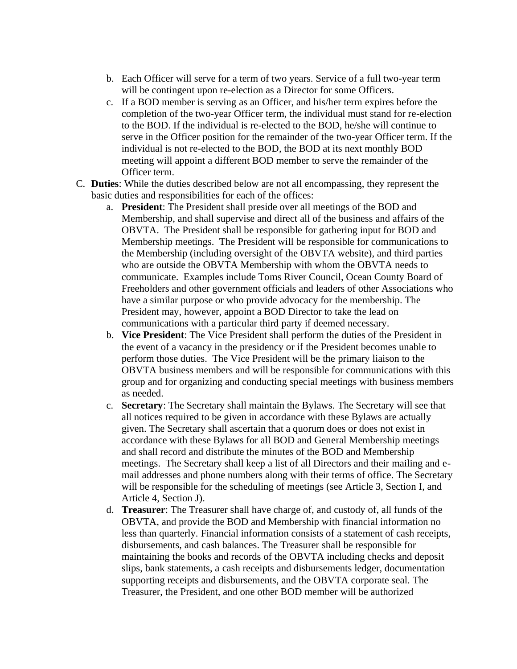- b. Each Officer will serve for a term of two years. Service of a full two-year term will be contingent upon re-election as a Director for some Officers.
- c. If a BOD member is serving as an Officer, and his/her term expires before the completion of the two-year Officer term, the individual must stand for re-election to the BOD. If the individual is re-elected to the BOD, he/she will continue to serve in the Officer position for the remainder of the two-year Officer term. If the individual is not re-elected to the BOD, the BOD at its next monthly BOD meeting will appoint a different BOD member to serve the remainder of the Officer term.
- C. **Duties**: While the duties described below are not all encompassing, they represent the basic duties and responsibilities for each of the offices:
	- a. **President**: The President shall preside over all meetings of the BOD and Membership, and shall supervise and direct all of the business and affairs of the OBVTA. The President shall be responsible for gathering input for BOD and Membership meetings. The President will be responsible for communications to the Membership (including oversight of the OBVTA website), and third parties who are outside the OBVTA Membership with whom the OBVTA needs to communicate. Examples include Toms River Council, Ocean County Board of Freeholders and other government officials and leaders of other Associations who have a similar purpose or who provide advocacy for the membership. The President may, however, appoint a BOD Director to take the lead on communications with a particular third party if deemed necessary.
	- b. **Vice President**: The Vice President shall perform the duties of the President in the event of a vacancy in the presidency or if the President becomes unable to perform those duties. The Vice President will be the primary liaison to the OBVTA business members and will be responsible for communications with this group and for organizing and conducting special meetings with business members as needed.
	- c. **Secretary**: The Secretary shall maintain the Bylaws. The Secretary will see that all notices required to be given in accordance with these Bylaws are actually given. The Secretary shall ascertain that a quorum does or does not exist in accordance with these Bylaws for all BOD and General Membership meetings and shall record and distribute the minutes of the BOD and Membership meetings. The Secretary shall keep a list of all Directors and their mailing and email addresses and phone numbers along with their terms of office. The Secretary will be responsible for the scheduling of meetings (see Article 3, Section I, and Article 4, Section J).
	- d. **Treasurer**: The Treasurer shall have charge of, and custody of, all funds of the OBVTA, and provide the BOD and Membership with financial information no less than quarterly. Financial information consists of a statement of cash receipts, disbursements, and cash balances. The Treasurer shall be responsible for maintaining the books and records of the OBVTA including checks and deposit slips, bank statements, a cash receipts and disbursements ledger, documentation supporting receipts and disbursements, and the OBVTA corporate seal. The Treasurer, the President, and one other BOD member will be authorized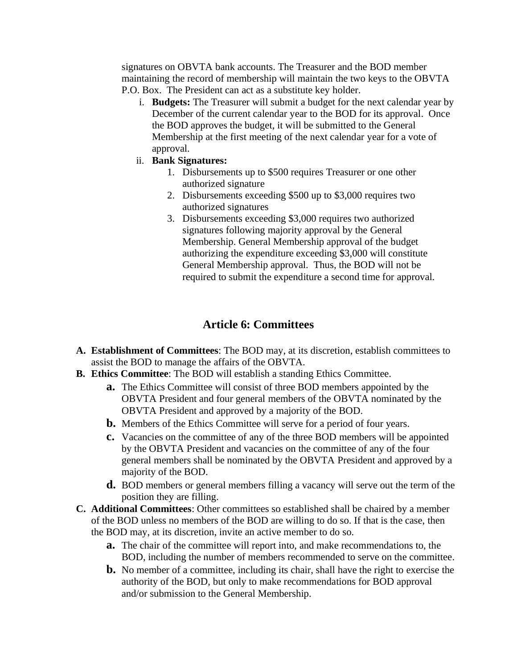signatures on OBVTA bank accounts. The Treasurer and the BOD member maintaining the record of membership will maintain the two keys to the OBVTA P.O. Box. The President can act as a substitute key holder.

- i. **Budgets:** The Treasurer will submit a budget for the next calendar year by December of the current calendar year to the BOD for its approval. Once the BOD approves the budget, it will be submitted to the General Membership at the first meeting of the next calendar year for a vote of approval.
- ii. **Bank Signatures:**
	- 1. Disbursements up to \$500 requires Treasurer or one other authorized signature
	- 2. Disbursements exceeding \$500 up to \$3,000 requires two authorized signatures
	- 3. Disbursements exceeding \$3,000 requires two authorized signatures following majority approval by the General Membership. General Membership approval of the budget authorizing the expenditure exceeding \$3,000 will constitute General Membership approval. Thus, the BOD will not be required to submit the expenditure a second time for approval.

## **Article 6: Committees**

- **A. Establishment of Committees**: The BOD may, at its discretion, establish committees to assist the BOD to manage the affairs of the OBVTA.
- **B. Ethics Committee**: The BOD will establish a standing Ethics Committee.
	- **a.** The Ethics Committee will consist of three BOD members appointed by the OBVTA President and four general members of the OBVTA nominated by the OBVTA President and approved by a majority of the BOD.
	- **b.** Members of the Ethics Committee will serve for a period of four years.
	- **c.** Vacancies on the committee of any of the three BOD members will be appointed by the OBVTA President and vacancies on the committee of any of the four general members shall be nominated by the OBVTA President and approved by a majority of the BOD.
	- **d.** BOD members or general members filling a vacancy will serve out the term of the position they are filling.
- **C. Additional Committees**: Other committees so established shall be chaired by a member of the BOD unless no members of the BOD are willing to do so. If that is the case, then the BOD may, at its discretion, invite an active member to do so.
	- **a.** The chair of the committee will report into, and make recommendations to, the BOD, including the number of members recommended to serve on the committee.
	- **b.** No member of a committee, including its chair, shall have the right to exercise the authority of the BOD, but only to make recommendations for BOD approval and/or submission to the General Membership.